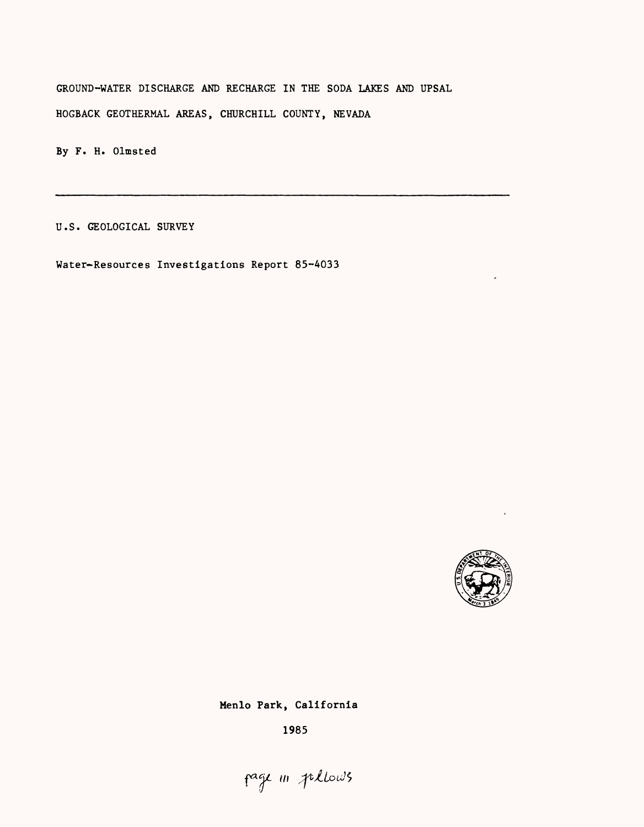GROUND-WATER DISCHARGE AND RECHARGE IN THE SODA LAKES AND UPSAL HOGBACK GEOTHERMAL AREAS, CHURCHILL COUNTY, NEVADA

By F. H. Olmsted

U.S. GEOLOGICAL SURVEY

Water-Resources Investigations Report 85-4033



Menlo Park, California

1985

page in pellows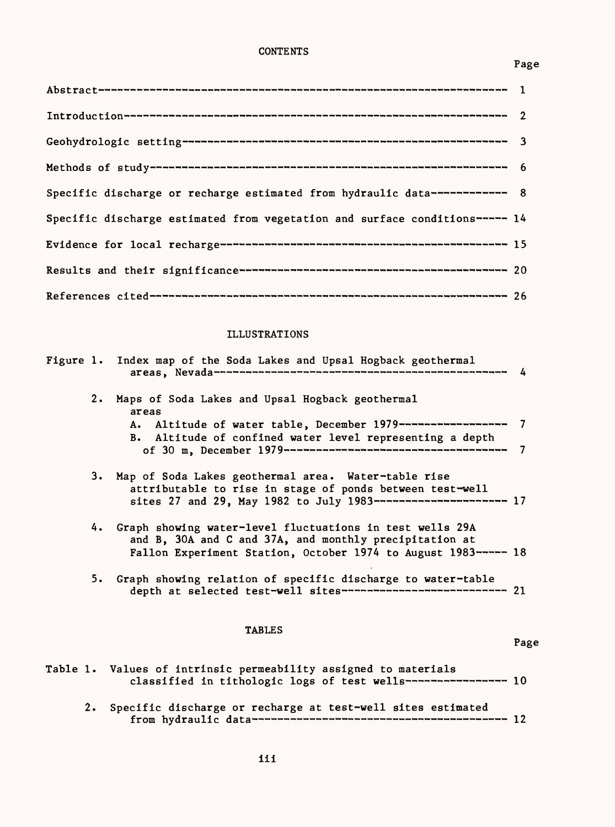# **CONTENTS**

## Page

| Specific discharge or recharge estimated from hydraulic data------------- 8 |  |
|-----------------------------------------------------------------------------|--|
| Specific discharge estimated from vegetation and surface conditions----- 14 |  |
|                                                                             |  |
|                                                                             |  |
|                                                                             |  |

# ILLUSTRATIONS

|           | Figure 1. Index map of the Soda Lakes and Upsal Hogback geothermal                                                                                                                      | 4      |
|-----------|-----------------------------------------------------------------------------------------------------------------------------------------------------------------------------------------|--------|
| $2 \cdot$ | Maps of Soda Lakes and Upsal Hogback geothermal<br>areas<br>Altitude of water table, December 1979-------------------<br>A.<br>B. Altitude of confined water level representing a depth | 7<br>7 |
|           | 3. Map of Soda Lakes geothermal area. Water-table rise<br>attributable to rise in stage of ponds between test-well<br>sites 27 and 29, May 1982 to July 1983------------------------ 17 |        |
|           | 4. Graph showing water-level fluctuations in test wells 29A<br>and B, 30A and C and 37A, and monthly precipitation at<br>Fallon Experiment Station, October 1974 to August 1983----- 18 |        |
|           | 5. Graph showing relation of specific discharge to water-table<br>depth at selected test-well sites----------------------------- 21                                                     |        |
|           | <b>TABLES</b>                                                                                                                                                                           | Page   |
|           | Table 1. Values of intrinsic permeability assigned to materials<br>classified in tithologic logs of test wells------------------ 10                                                     |        |

2. Specific discharge or recharge at test-well sites estimated from hydraulic data 12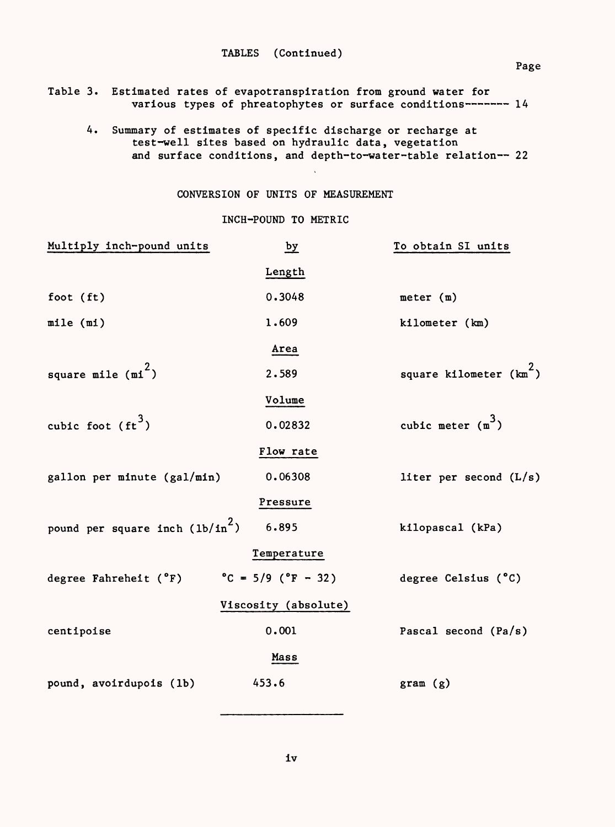Table 3. Estimated rates of evapotranspiration from ground water for various types of phreatophytes or surface conditions------- 14

4. Summary of estimates of specific discharge or recharge at test-well sites based on hydraulic data, vegetation and surface conditions, and depth-to-water-table relation-- 22

## CONVERSION OF UNITS OF MEASUREMENT

## INCH-POUND TO METRIC

| Multiply inch-pound units         | $\frac{by}{ }$                          | To obtain SI units        |
|-----------------------------------|-----------------------------------------|---------------------------|
|                                   | Length                                  |                           |
| foot $(ft)$                       | 0.3048                                  | meter $(m)$               |
| mile (mi)                         | 1.609                                   | kilometer (km)            |
|                                   | Area                                    |                           |
| square mile $(mi^2)$              | 2.589                                   | square kilometer $(km^2)$ |
|                                   | Volume                                  |                           |
| cubic foot $(\text{ft}^3)$        | 0.02832                                 | cubic meter $(m^3)$       |
|                                   | Flow rate                               |                           |
| gallon per minute (gal/min)       | 0.06308                                 | liter per second $(L/s)$  |
|                                   | Pressure                                |                           |
| pound per square inch $(lb/in^2)$ | 6.895                                   | kilopascal (kPa)          |
|                                   | Temperature                             |                           |
| degree Fahreheit (°F)             | $^{\circ}$ C = 5/9 ( $^{\circ}$ F - 32) | degree Celsius (°C)       |
|                                   | Viscosity (absolute)                    |                           |
| centipoise                        | 0.001                                   | Pascal second (Pa/s)      |
|                                   | Mass                                    |                           |
| pound, avoirdupois (1b)           | 453.6                                   | gram (g)                  |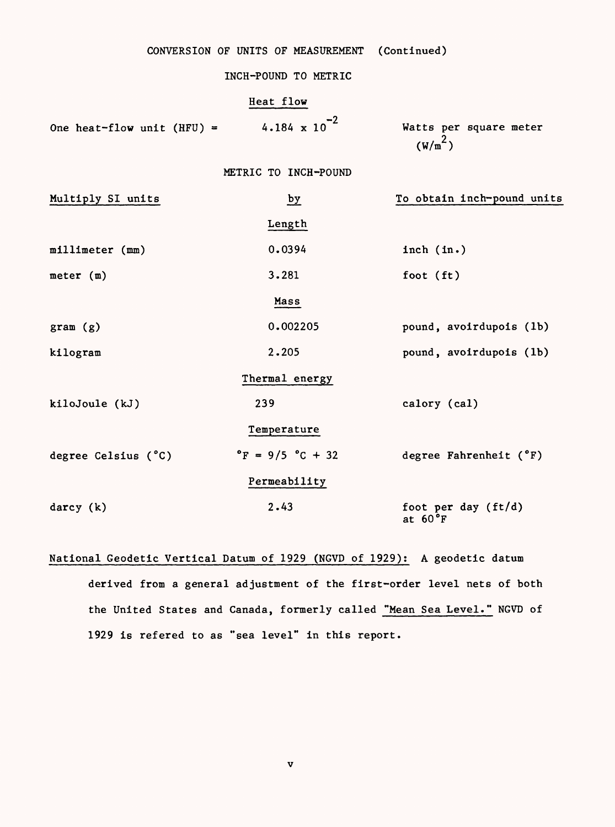|                            | CONVERSION OF UNITS OF MEASUREMENT   | (Continued)                                   |
|----------------------------|--------------------------------------|-----------------------------------------------|
|                            | INCH-POUND TO METRIC                 |                                               |
|                            | Heat flow                            |                                               |
| One heat-flow unit (HFU) = | 4.184 $\times 10^{-2}$               | Watts per square meter<br>(W/m <sup>2</sup> ) |
|                            | METRIC TO INCH-POUND                 |                                               |
| Multiply SI units          | $\frac{by}{ }$                       | To obtain inch-pound units                    |
|                            | Length                               |                                               |
| millimeter (mm)            | 0.0394                               | inch $(in.)$                                  |
| meter $(m)$                | 3.281                                | foot (ft)                                     |
|                            | Mass                                 |                                               |
| gram(g)                    | 0.002205                             | pound, avoirdupois (1b)                       |
| kilogram                   | 2.205                                | pound, avoirdupois (1b)                       |
|                            | Thermal energy                       |                                               |
| kiloJoule (kJ)             | 239                                  | calory (cal)                                  |
|                            | Temperature                          |                                               |
| degree Celsius (°C)        | $^{\circ}$ F = 9/5 $^{\circ}$ C + 32 | degree Fahrenheit (°F)                        |
|                            | Permeability                         |                                               |
| darcy (k)                  | 2.43                                 | foot per day (ft/d)<br>at $60^{\circ}$ F      |

National Geodetic Vertical Datum of 1929 (NGVD of 1929): A geodetic datum derived from a general adjustment of the first-order level nets of both the United States and Canada, formerly called "Mean Sea Level." NGVD of 1929 is refered to as "sea level" in this report.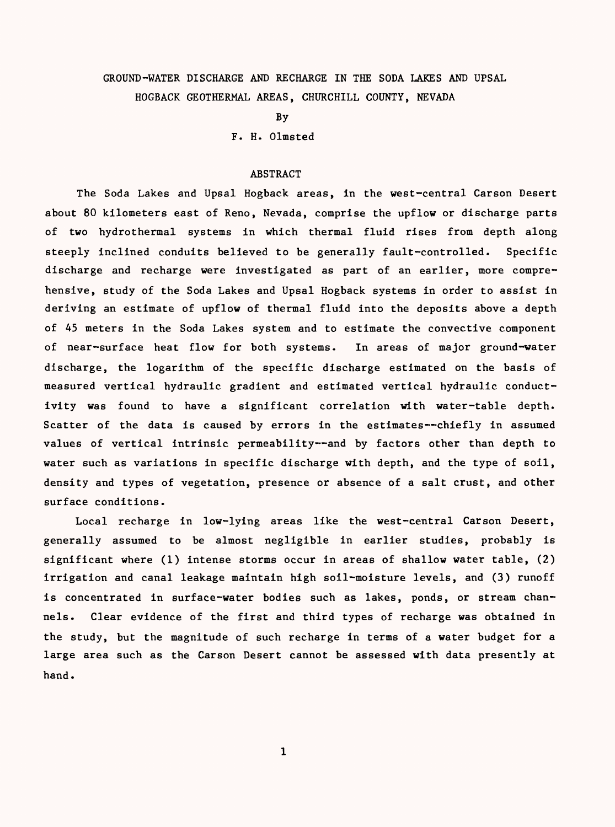# GROUND-WATER DISCHARGE AND RECHARGE IN THE SODA LAKES AND UPSAL HOGBACK GEOTHERMAL AREAS, CHURCHILL COUNTY, NEVADA

By

F. H. Olmsted

## ABSTRACT

The Soda Lakes and Upsal Hogback areas, in the west-central Carson Desert about 80 kilometers east of Reno, Nevada, comprise the upflow or discharge parts of two hydrothermal systems in which thermal fluid rises from depth along steeply inclined conduits believed to be generally fault-controlled. Specific discharge and recharge were investigated as part of an earlier, more comprehensive, study of the Soda Lakes and Upsal Hogback systems in order to assist in deriving an estimate of upflow of thermal fluid into the deposits above a depth of 45 meters in the Soda Lakes system and to estimate the convective component of near-surface heat flow for both systems. In areas of major ground-water discharge, the logarithm of the specific discharge estimated on the basis of measured vertical hydraulic gradient and estimated vertical hydraulic conductivity was found to have a significant correlation with water-table depth. Scatter of the data is caused by errors in the estimates--chiefly in assumed values of vertical intrinsic permeability--and by factors other than depth to water such as variations in specific discharge with depth, and the type of soil, density and types of vegetation, presence or absence of a salt crust, and other surface conditions.

Local recharge in low-lying areas like the west-central Carson Desert, generally assumed to be almost negligible in earlier studies, probably is significant where (1) intense storms occur in areas of shallow water table, (2) irrigation and canal leakage maintain high soil-moisture levels, and (3) runoff is concentrated in surface-water bodies such as lakes, ponds, or stream channels. Clear evidence of the first and third types of recharge was obtained in the study, but the magnitude of such recharge in terms of a water budget for a large area such as the Carson Desert cannot be assessed with data presently at hand.

 $\mathbf{1}$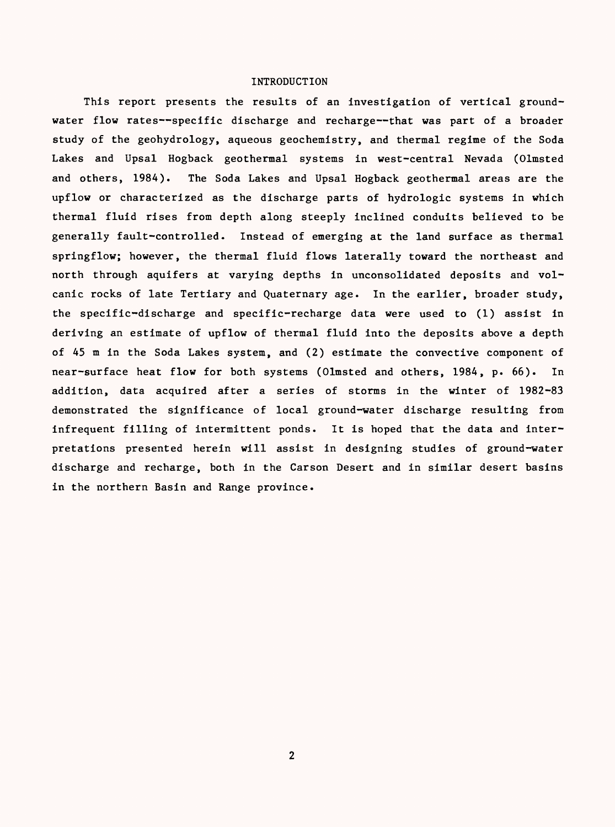## INTRODUCTION

This report presents the results of an investigation of vertical groundwater flow rates--specific discharge and recharge--that was part of a broader study of the geohydrology, aqueous geochemistry, and thermal regime of the Soda Lakes and Upsal Hogback geothermal systems in west-central Nevada (Olmsted and others, 1984). The Soda Lakes and Upsal Hogback geothermal areas are the upflow or characterized as the discharge parts of hydrologic systems in which thermal fluid rises from depth along steeply inclined conduits believed to be generally fault-controlled. Instead of emerging at the land surface as thermal springflow; however, the thermal fluid flows laterally toward the northeast and north through aquifers at varying depths in unconsolidated deposits and volcanic rocks of late Tertiary and Quaternary age. In the earlier, broader study, the specific-discharge and specific-recharge data were used to (1) assist in deriving an estimate of upflow of thermal fluid into the deposits above a depth of 45 m in the Soda Lakes system, and (2) estimate the convective component of near-surface heat flow for both systems (Olmsted and others, 1984, p. 66). In addition, data acquired after a series of storms in the winter of 1982-83 demonstrated the significance of local ground-water discharge resulting from infrequent filling of intermittent ponds. It is hoped that the data and interpretations presented herein will assist in designing studies of ground-water discharge and recharge, both in the Carson Desert and in similar desert basins in the northern Basin and Range province.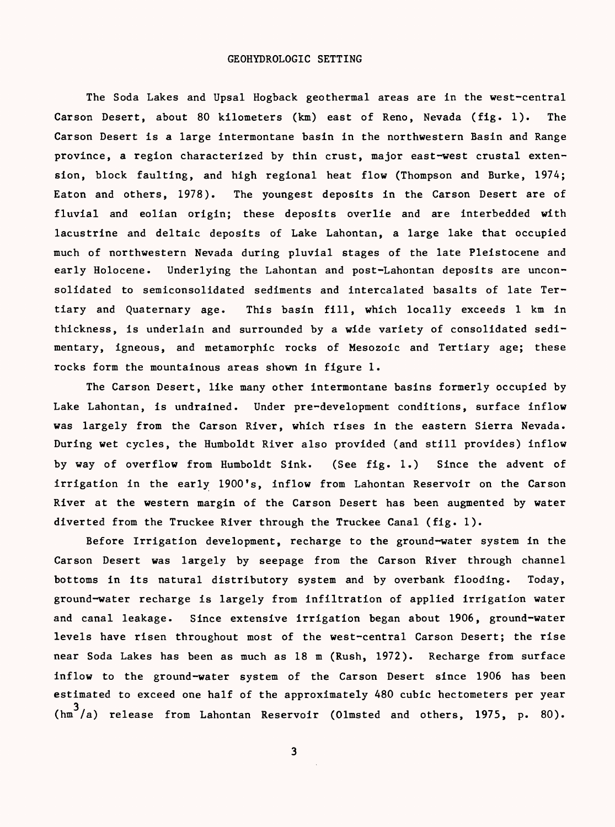#### GEOHYDROLOGIC SETTING

The Soda Lakes and Upsal Hogback geothermal areas are in the west-central Carson Desert, about 80 kilometers (km) east of Reno, Nevada (fig. 1). The Carson Desert is a large intermontane basin in the northwestern Basin and Range province, a region characterized by thin crust, major east-west crustal extension, block faulting, and high regional heat flow (Thompson and Burke, 1974; Eaton and others, 1978). The youngest deposits in the Carson Desert are of fluvial and eolian origin; these deposits overlie and are interbedded with lacustrine and deltaic deposits of Lake Lahontan, a large lake that occupied much of northwestern Nevada during pluvial stages of the late Pleistocene and early Holocene. Underlying the Lahontan and post-Lahontan deposits are unconsolidated to semiconsolidated sediments and intercalated basalts of late Tertiary and Quaternary age. This basin fill, which locally exceeds 1 km in thickness, is underlain and surrounded by a wide variety of consolidated sedimentary, igneous, and metamorphic rocks of Mesozoic and Tertiary age; these rocks form the mountainous areas shown in figure 1.

The Carson Desert, like many other intermontane basins formerly occupied by Lake Lahontan, is undrained. Under pre-development conditions, surface inflow was largely from the Carson River, which rises in the eastern Sierra Nevada. During wet cycles, the Humboldt River also provided (and still provides) inflow by way of overflow from Humboldt Sink. (See fig. 1.) Since the advent of irrigation in the early 1900's, inflow from Lahontan Reservoir on the Carson River at the western margin of the Carson Desert has been augmented by water diverted from the Truckee River through the Truckee Canal (fig. 1).

Before Irrigation development, recharge to the ground-water system in the Carson Desert was largely by seepage from the Carson River through channel bottoms in its natural distributory system and by overbank flooding. Today, ground-water recharge is largely from infiltration of applied irrigation water and canal leakage. Since extensive irrigation began about 1906, ground-water levels have risen throughout most of the west-central Carson Desert; the rise near Soda Lakes has been as much as 18 m (Rush, 1972). Recharge from surface inflow to the ground-water system of the Carson Desert since 1906 has been estimated to exceed one half of the approximately 480 cubic hectometers per year  $\binom{3}{m}$ /a) release from Lahontan Reservoir (Olmsted and others, 1975, p. 80).

 $\overline{\mathbf{3}}$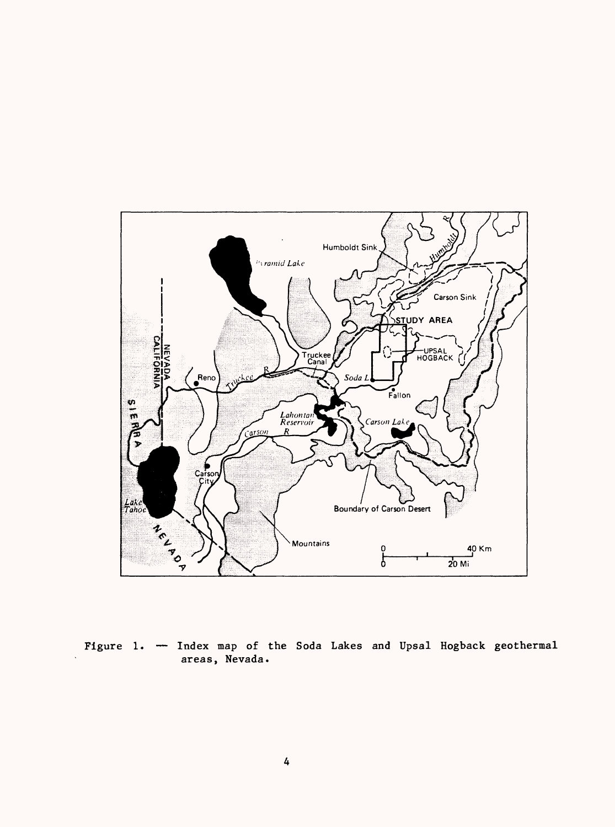

Figure 1. - Index map of the Soda Lakes and Upsal Hogback geothermal areas, Nevada.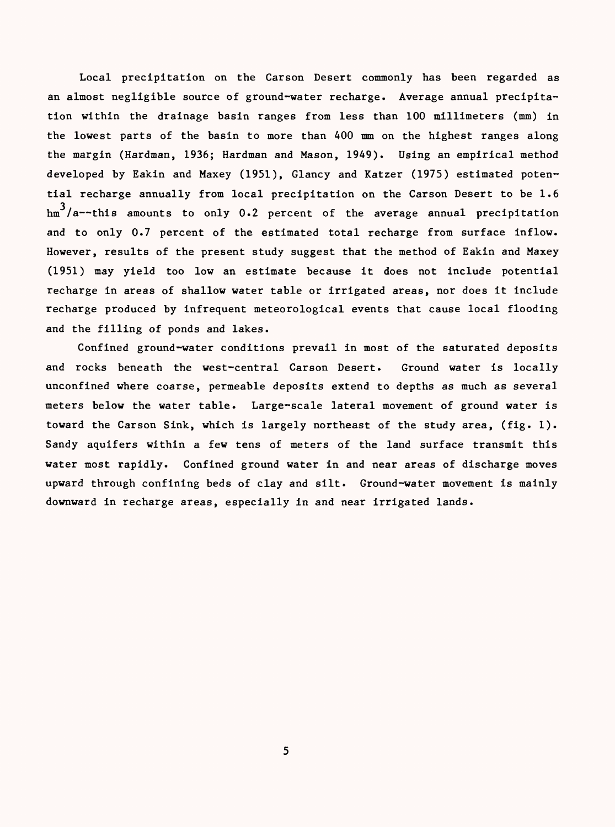Local precipitation on the Carson Desert commonly has been regarded as an almost negligible source of ground-water recharge. Average annual precipitation within the drainage basin ranges from less than 100 millimeters (mm) in the lowest parts of the basin to more than 400 mm on the highest ranges along the margin (Hardman, 1936; Hardman and Mason, 1949). Using an empirical method developed by Eakin and Maxey (1951), Glancy and Katzer (1975) estimated potential recharge annually from local precipitation on the Carson Desert to be 1.6  $\frac{3}{4}$  /a--this amounts to only 0.2 percent of the average annual precipitation and to only 0.7 percent of the estimated total recharge from surface inflow. However, results of the present study suggest that the method of Eakin and Maxey (1951) may yield too low an estimate because it does not include potential recharge in areas of shallow water table or irrigated areas, nor does it include recharge produced by infrequent meteorological events that cause local flooding and the filling of ponds and lakes.

Confined ground-water conditions prevail in most of the saturated deposits and rocks beneath the west-central Carson Desert. Ground water is locally unconfined where coarse, permeable deposits extend to depths as much as several meters below the water table. Large-scale lateral movement of ground water is toward the Carson Sink, which is largely northeast of the study area, (fig. 1). Sandy aquifers within a few tens of meters of the land surface transmit this water most rapidly. Confined ground water in and near areas of discharge moves upward through confining beds of clay and silt. Ground-water movement is mainly downward in recharge areas, especially in and near irrigated lands.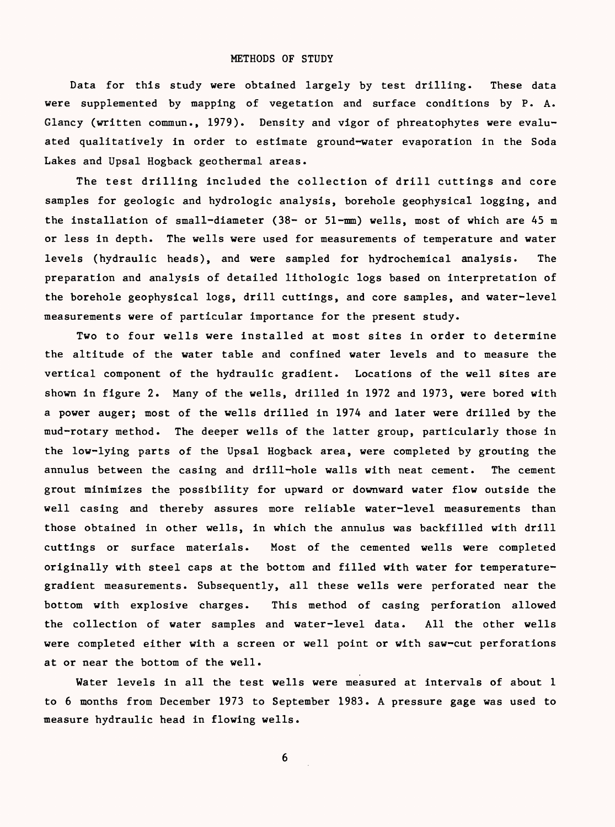Data for this study were obtained largely by test drilling. These data were supplemented by mapping of vegetation and surface conditions by P. A. Glancy (written commun., 1979). Density and vigor of phreatophytes were evaluated qualitatively in order to estimate ground-water evaporation in the Soda Lakes and Upsal Hogback geothermal areas.

The test drilling included the collection of drill cuttings and core samples for geologic and hydrologic analysis, borehole geophysical logging, and the installation of small-diameter (38- or 51-mm) wells, most of which are 45 m or less in depth. The wells were used for measurements of temperature and water levels (hydraulic heads), and were sampled for hydrochemical analysis. The preparation and analysis of detailed lithologic logs based on interpretation of the borehole geophysical logs, drill cuttings, and core samples, and water-level measurements were of particular importance for the present study.

Two to four wells were installed at most sites in order to determine the altitude of the water table and confined water levels and to measure the vertical component of the hydraulic gradient. Locations of the well sites are shown in figure 2. Many of the wells, drilled in 1972 and 1973, were bored with a power auger; most of the wells drilled in 1974 and later were drilled by the mud-rotary method. The deeper wells of the latter group, particularly those in the low-lying parts of the Upsal Hogback area, were completed by grouting the annulus between the casing and drill-hole walls with neat cement. The cement grout minimizes the possibility for upward or downward water flow outside the well casing and thereby assures more reliable water-level measurements than those obtained in other wells, in which the annulus was backfilled with drill cuttings or surface materials. Most of the cemented wells were completed originally with steel caps at the bottom and filled with water for temperaturegradient measurements. Subsequently, all these wells were perforated near the bottom with explosive charges. This method of casing perforation allowed the collection of water samples and water-level data. All the other wells were completed either with a screen or well point or with saw-cut perforations at or near the bottom of the well.

Water levels in all the test wells were measured at intervals of about 1 to 6 months from December 1973 to September 1983. A pressure gage was used to measure hydraulic head in flowing wells.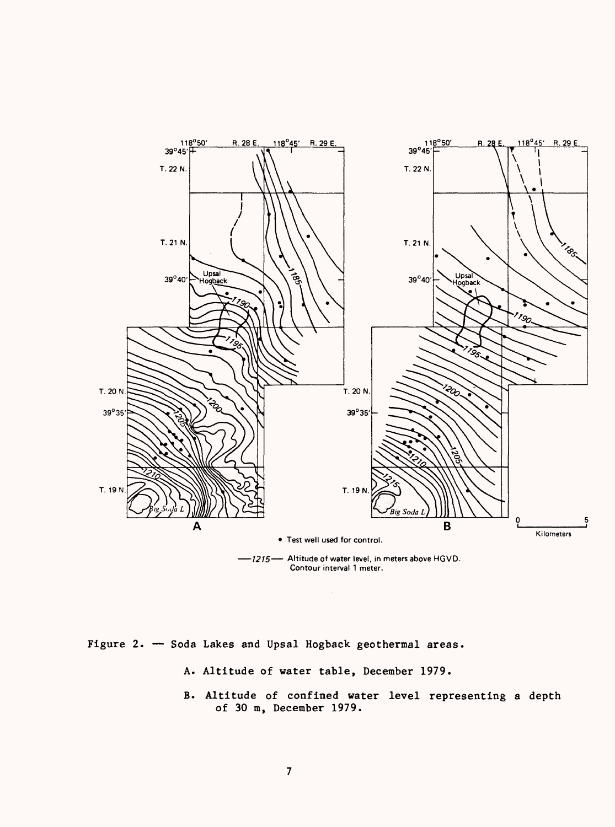

-1215 - Altitude of water level, in meters above HGVD. Contour interval 1 meter.

Figure 2. - Soda Lakes and Upsal Hogback geothermal areas.

- A. Altitude of water table, December 1979.
- B. Altitude of confined water level representing a depth of 30 m, December 1979.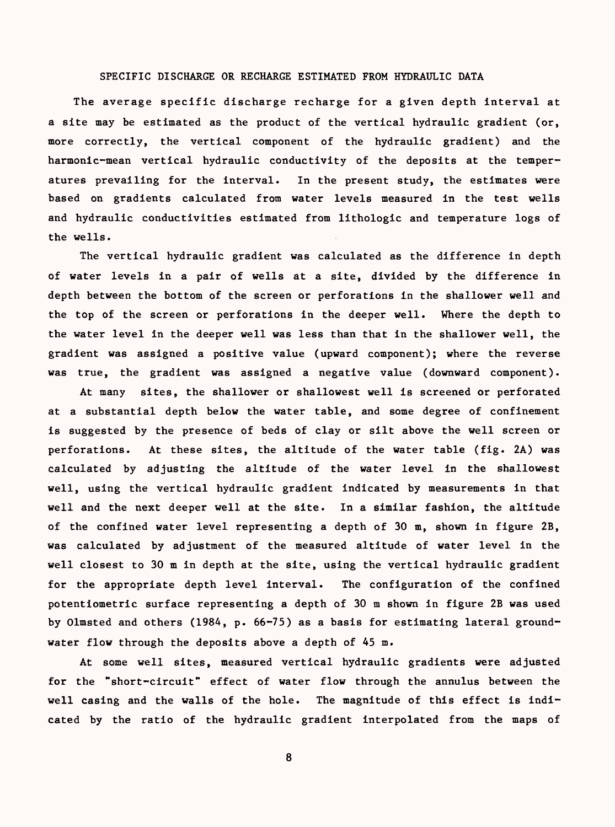# SPECIFIC DISCHARGE OR RECHARGE ESTIMATED FROM HYDRAULIC DATA

The average specific discharge recharge for a given depth interval at a site may be estimated as the product of the vertical hydraulic gradient (or, more correctly, the vertical component of the hydraulic gradient) and the harmonic-mean vertical hydraulic conductivity of the deposits at the temperatures prevailing for the interval. In the present study, the estimates were based on gradients calculated from water levels measured in the test wells and hydraulic conductivities estimated from lithologic and temperature logs of the wells.

The vertical hydraulic gradient was calculated as the difference in depth of water levels in a pair of wells at a site, divided by the difference in depth between the bottom of the screen or perforations in the shallower well and the top of the screen or perforations in the deeper well. Where the depth to the water level in the deeper well was less than that in the shallower well, the gradient was assigned a positive value (upward component); where the reverse was true, the gradient was assigned a negative value (downward component).

At many sites, the shallower or shallowest well is screened or perforated at a substantial depth below the water table, and some degree of confinement is suggested by the presence of beds of clay or silt above the well screen or perforations. At these sites, the altitude of the water table (fig. 2A) was calculated by adjusting the altitude of the water level in the shallowest well, using the vertical hydraulic gradient indicated by measurements in that well and the next deeper well at the site. In a similar fashion, the altitude of the confined water level representing a depth of 30 m, shown in figure 2B, was calculated by adjustment of the measured altitude of water level in the well closest to 30 m in depth at the site, using the vertical hydraulic gradient for the appropriate depth level interval. The configuration of the confined potentiometric surface representing a depth of 30 m shown in figure 2B was used by Olmsted and others (1984, p. 66-75) as a basis for estimating lateral groundwater flow through the deposits above a depth of 45 m.

At some well sites, measured vertical hydraulic gradients were adjusted for the "short-circuit" effect of water flow through the annulus between the well casing and the walls of the hole. The magnitude of this effect is indicated by the ratio of the hydraulic gradient interpolated from the maps of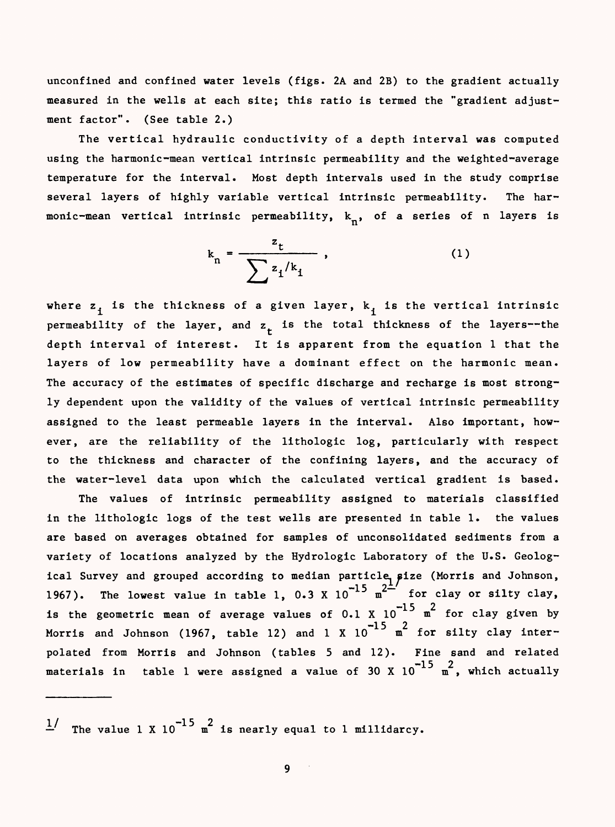unconfined and confined water levels (figs. 2A and 2B) to the gradient actually measured in the wells at each site; this ratio is termed the "gradient adjustment factor". (See table 2.)

The vertical hydraulic conductivity of a depth interval was computed using the harmonic-mean vertical intrinsic permeability and the weighted-average temperature for the interval. Most depth intervals used in the study comprise several layers of highly variable vertical intrinsic permeability. The harmonic-mean vertical intrinsic permeability,  $k_n$ , of a series of n layers is

$$
k_n = \frac{z_t}{\sum z_i / k_i}, \qquad (1)
$$

where  $z_i$  is the thickness of a given layer,  $k_i$  is the vertical intrinsic permeability of the layer, and  $z_{+}$  is the total thickness of the layers--the depth interval of interest. It is apparent from the equation 1 that the layers of low permeability have a dominant effect on the harmonic mean. The accuracy of the estimates of specific discharge and recharge is most strongly dependent upon the validity of the values of vertical intrinsic permeability assigned to the least permeable layers in the interval. Also important, however, are the reliability of the lithologic log, particularly with respect to the thickness and character of the confining layers, and the accuracy of the water-level data upon which the calculated vertical gradient is based.

The values of intrinsic permeability assigned to materials classified in the lithologic logs of the test wells are presented in table 1. the values are based on averages obtained for samples of unconsolidated sediments from a variety of locations analyzed by the Hydrologic Laboratory of the U.S. Geological Survey and grouped according to median particle, size (Morris and Johnson, 1967). The lowest value in table 1, 0.3 X  $10^{-15}$  m<sup>2- $^{-1}$ </sup> for clay or silty clay, is the geometric mean of average values of 0.1 X  $10^{-15}$  m<sup>2</sup> for clay given by Morris and Johnson (1967, table 12) and 1 X  ${10}^{-15}$   ${\tt m}^2$  for silty clay interpolated from Morris and Johnson (tables 5 and 12). Fine sand and related materials in table 1 were assigned a value of 30 X  $10^{-15}$  m<sup>2</sup>, which actually

 $\frac{1}{x}$  The value 1 X 10<sup>-15</sup> m<sup>2</sup> is nearly equal to 1 millidarcy.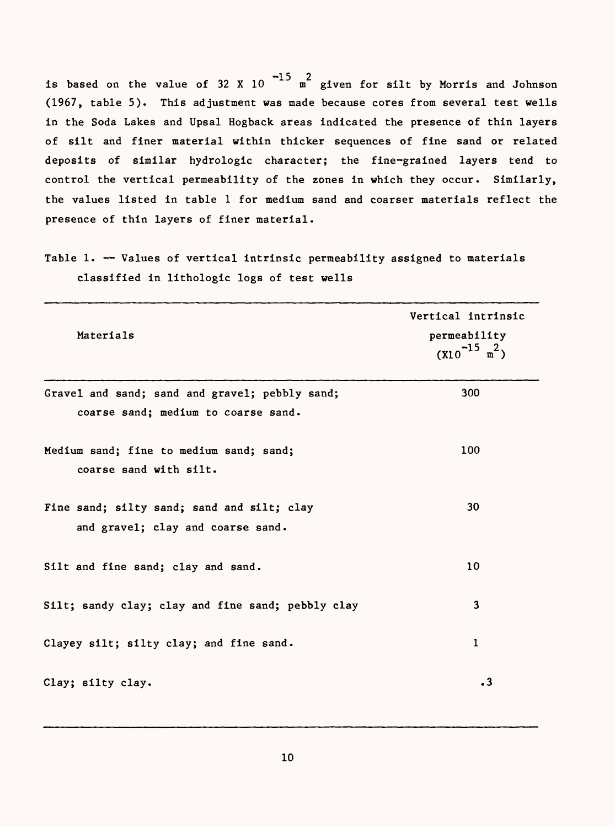is based on the value of 32 X 10  $-15$   $\frac{2}{m}$  given for silt by Morris and Johnson (1967, table 5). This adjustment was made because cores from several test wells in the Soda Lakes and Upsal Hogback areas indicated the presence of thin layers of silt and finer material within thicker sequences of fine sand or related deposits of similar hydrologic character; the fine-grained layers tend to control the vertical permeability of the zones in which they occur. Similarly, the values listed in table 1 for medium sand and coarser materials reflect the presence of thin layers of finer material.

Table 1. -- Values of vertical intrinsic permeability assigned to materials classified in lithologic logs of test wells

| Materials                                                                             | Vertical intrinsic<br>permeability<br>$(X10^{-15} \text{ m}^2)$ |
|---------------------------------------------------------------------------------------|-----------------------------------------------------------------|
| Gravel and sand; sand and gravel; pebbly sand;<br>coarse sand; medium to coarse sand. | 300                                                             |
| Medium sand; fine to medium sand; sand;<br>coarse sand with silt.                     | 100                                                             |
| Fine sand; silty sand; sand and silt; clay<br>and gravel; clay and coarse sand.       | 30                                                              |
| Silt and fine sand; clay and sand.                                                    | 10 <sup>°</sup>                                                 |
| Silt; sandy clay; clay and fine sand; pebbly clay                                     | $\overline{\mathbf{3}}$                                         |
| Clayey silt; silty clay; and fine sand.                                               | $\mathbf{1}$                                                    |
| Clay; silty clay.                                                                     | $\cdot$ 3                                                       |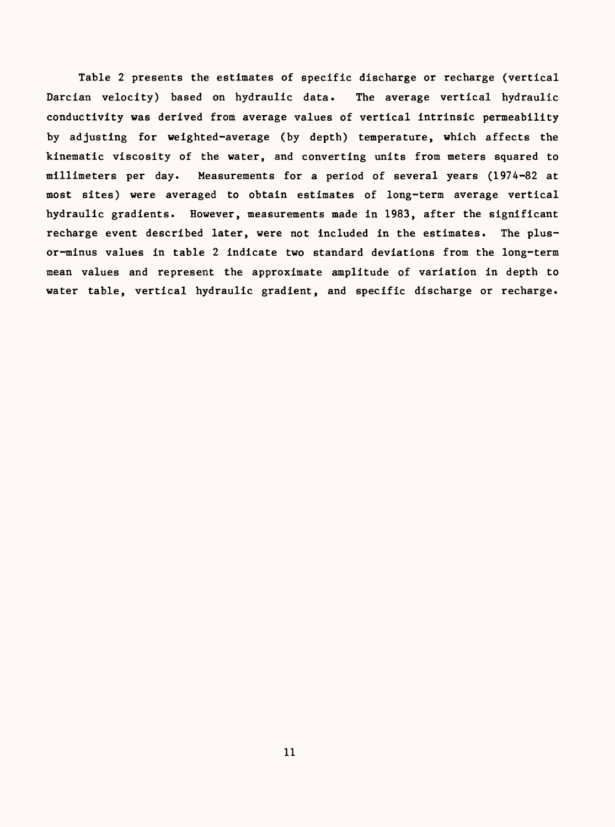Table 2 presents the estimates of specific discharge or recharge (vertical Darcian velocity) based on hydraulic data. The average vertical hydraulic conductivity was derived from average values of vertical intrinsic permeability by adjusting for weighted-average (by depth) temperature, which affects the kinematic viscosity of the water, and converting units from meters squared to millimeters per day. Measurements for a period of several years (1974-82 at most sites) were averaged to obtain estimates of long-term average vertical hydraulic gradients. However, measurements made in 1983, after the significant recharge event described later, were not included in the estimates. The plusor-minus values in table 2 indicate two standard deviations from the long-term mean values and represent the approximate amplitude of variation in depth to water table, vertical hydraulic gradient, and specific discharge or recharge.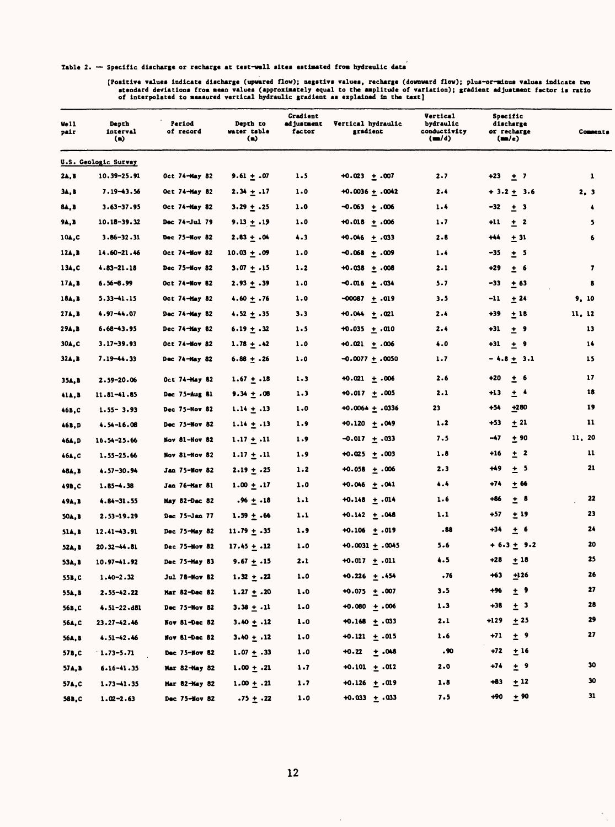Table 2. - Specific discharge or recharge at test-well sites estimated from hydreulic data

(Positive values indicate discharge (upwared flow); negstivs values, recharge (downward flow); plus-or-minus values indicate two<br>stendard deviations from mean values (approximately equal to the amplitude of variation); gra

| Well<br>pair  | Depth<br>interval<br>$\left( \bullet \right)$ | Period<br>of record  | Depth to<br>water table<br>$\bf(a)$ | <b>Gradient</b><br>ad justuent<br>factor | Vertical hydraulic<br>gradient | Vertical<br>bydraulic<br>conductivity<br>$(=\times)$ | Specific<br>discharge<br>or recharge<br>(m/e) | Comments         |
|---------------|-----------------------------------------------|----------------------|-------------------------------------|------------------------------------------|--------------------------------|------------------------------------------------------|-----------------------------------------------|------------------|
|               | U.S. Geologic Survey                          |                      |                                     |                                          |                                |                                                      |                                               |                  |
| 24,3          | $10.39 - 25.91$                               | Oct 74-May 82        | 9.61 $\pm$ .07                      | 1.5                                      | $+0.023 + .007$                | 2.7                                                  | $+23$<br>$\pm$ 7                              | 1                |
| 34, B         | $7.19 - 43.56$                                | Oct 74-May 82        | $2.34 \pm .17$                      | 1.0                                      | $+0.0036 \pm .0042$            | 2.4                                                  | $+3.2 + 3.6$                                  | 2, 3             |
| 84, B         | $3.63 - 37.95$                                | Oct 74-May 82        | $3.29 \pm .25$                      | 1.0                                      | $-0.063 + .006$                | 1.4                                                  | $-32$<br>± 3                                  | $\ddot{\bullet}$ |
| 9A, B         | $10.18 - 39.32$                               | Dec 74-Jul 79        | 9.13 $\pm$ .19                      | 1.0                                      | $+0.018 \pm .006$              | 1.7                                                  | $+11$<br>± 2                                  | 5                |
| 10A,C         | $3.86 - 32.31$                                | Dec 75-Nov 82        | $2.83 + .04$                        | 4.3                                      | $+0.046 + 0.033$               | 2.8                                                  | $+44$<br>$+31$                                | 6                |
| 12A, B        | $14.60 - 21.46$                               | Oct 74-Mov 82        | $10.03 + .09$                       | 1.0                                      | $-0.068 + .009$                | $1 - 4$                                              | -35<br>± 5                                    |                  |
| 134, C        | $4.83 - 21.18$                                | Dec 75-Nov 82        | $3.07 + .15$                        | $1 - 2$                                  | +0.038 + .008                  | 2.1                                                  | +29<br>± 6                                    | 7                |
| 17A, B        | $6.56 - 8.99$                                 | Oct 74-Nov 82        | $2.93 \pm .39$                      | 1.0                                      | ⊸0.016 ± .034                  | 5.7                                                  | -33<br>± 63                                   | 8                |
| 18A, B        | $5.33 - 1.15$                                 | Oct 74-Hay 82        | $4.60 \pm .76$                      | 1.0                                      | $-00087 + .019$                | 3.5                                                  | ± 24<br>-11                                   | 9, 10            |
| 27A, B        | 4.97-44.07                                    | Dec 74-Hay 82        | $4.52 \pm .35$                      | 3.3                                      | $+0.044 \pm .021$              | 2.4                                                  | +39<br>±18                                    | 11, 12           |
| 29A, B        | $6.68 - 43.95$                                | Dec 74-May 82        | 6.19 $\pm$ .32                      | 1.5                                      | $+0.035 + .010$                | 2.4                                                  | $+31$<br>± 9                                  | 13               |
| 30A.C         | $3.17 - 39.93$                                | Oct 74-Nov 82        | $1.78 \pm .42$                      | 1.0                                      | $+0.021 \pm .006$              | 4.0                                                  | $\pm$ 9<br>$+31$                              | 14               |
| 32A, B        | 7.19-44.33                                    | Dec 74-May 82        | $6.88 \pm .26$                      | 1.0                                      | -0.0077 ± .0050                | 1.7                                                  | $-4.8 + 3.1$                                  | 15               |
| 35A, B        | $2.59 - 20.06$                                | Oct 74-May 82        | $1.67 + .18$                        | $1 - 3$                                  | $+0.021 \pm .006$              | 2.6                                                  | ± 6<br>+20                                    | 17               |
| 41A, B        | $11.81 - 1.85$                                | Dec 75-Aug 81        | $9.34 \pm .08$                      | 1.3                                      | $+0.017 + .005$                | 2.1                                                  | $±$ $\rightarrow$<br>+13                      | 18               |
| 46B,C         | $1.55 - 3.93$                                 | Dec 75-Nov 82        | $1.14 \pm .13$                      | 1.0                                      | $+0.0064 \pm .0336$            | 23                                                   | +280<br>+54                                   | 19               |
| 46B, D        | $4.54 - 16.08$                                | Dec 75-Mov 82        | $1.14 \pm .13$                      | 1.9                                      | $+0.120 + .049$                | 1.2                                                  | ± 21<br>$+53$                                 | 11               |
| 46A, D        | $16.54 - 25.66$                               | $Now 81 - Nov 82$    | $1.17 \pm .11$                      | 1.9                                      | $-0.017 + .033$                | 7.5                                                  | -47<br>± 90                                   | 11, 20           |
| 46A,C         | $1.55 - 25.66$                                | Nov 81-Nov 82        | $1.17 \pm .11$                      | 1.9                                      | $+0.025 + .003$                | 1.8                                                  | $\pm$ 2<br>$+16$                              | 11               |
| 48A, B        | 4.57-30.94                                    | Jan 75-Nov 82        | $2.19 + .25$                        | 1.2                                      | $+0.058 + 0.006$               | 2.3                                                  | +49<br>$±$ 5                                  | 21               |
| 49B,C         | $1.85 - 1.38$                                 | Jan 76-Mar 81        | $1.00 \pm .17$                      | 1.0                                      | $+0.046 + .041$                | 4.4                                                  | +74<br>$+66$                                  |                  |
| 49A, B        | $4.84 - 31.55$                                | May 82-Dac 82        | $.96 + .18$                         | 1.1                                      | $+0.148 + .014$                | 1.6                                                  | +86<br>$\pm$ 8                                | 22               |
| 50A, B        | $2.53 - 19.29$                                | Dec 75-Jan 77        | $1.59 \pm .66$                      | 1.1                                      | $+0.142 + .048$                | 1.1                                                  | ±19<br>+57                                    | 23               |
| <b>51A, B</b> | $12.41 - 43.91$                               | Dec 75-May 82        | $11.79 \pm .35$                     | 1.9                                      | $+0.106 + .019$                | .88                                                  | $+34$<br>$±$ 6                                | 24               |
| 52A, B        | $20.32 - 44.81$                               | Dec 75-Nov 82        | $17.45 + .12$                       | 1.0                                      | $+0.0031 + .0045$              | 5.6                                                  | $+ 6.3 + 9.2$                                 | 20               |
| 53A, B        | $10.97 - 1.92$                                | Dec 75-May 83        | 9.67 $\pm$ .15                      | 2.1                                      | $+0.017 + .011$                | 4.5                                                  | +28<br>$+18$                                  | 25               |
| 55B, C        | $1.40 - 2.32$                                 | <b>Jul 78-Nov 82</b> | $1.32 + .22$                        | 1.0                                      | $+0.226 + .454$                | . 76                                                 | +63<br>$+126$                                 | 26               |
| 55A, B        | $2.55 - 42.22$                                | Mar 82-Dec 82        | $1.27 \pm .20$                      | 1.0                                      | $+0.075 + .007$                | 3.5                                                  | $±$ 9<br>$+96$                                | 27               |
| 56B, C        | $4.51 - 22.481$                               | Dec 75-Nov 82        | $3.38 \pm .11$                      | $1 - 0$                                  | $+0.080 + .006$                | 1.3                                                  | $\pm$ 3<br>$+38$                              | 28               |
| 56A, C        | $23.27 - 42.46$                               | Nov 81-Dec 82        | $3.40 \pm .12$                      | 1.0                                      | $+0.168 + .033$                | 2.1                                                  | $+129 + 25$                                   | 29               |
| 56A, B        | $4.51 - 42.46$                                | Nov 81-Dec 82        | $3.40 \pm .12$                      | 1.0                                      | $+0.121 + .015$                | 1.6                                                  | $+71 + 9$                                     | 27               |
| 57B, C        | $1.73 - 5.71$                                 | Dec 75-Nov 82        | $1.07 + .33$                        | 1.0                                      | $+0.22 + .048$                 | .90                                                  | $+72 + 16$                                    |                  |
| 57A, B        | $6.16 - 41.35$                                | Mar 82-May 82        | $1.00 \pm .21$                      | $1 - 7$                                  | $+0.101 + .012$                | 2.0                                                  | $\pm$ 9<br>$+74$                              | 30               |
| 57A, C        | $1.73 - 1.35$                                 | Har 82-Hay 82        | $1.00 \pm .21$                      | 1.7                                      | $+0.126 + .019$                | 1.8                                                  | $+83$<br>$+12$                                | 30               |
| 58B, C        | $1.02 - 2.63$                                 | Dec 75-Nov 82        | $.75 + .22$                         | 1.0                                      | $+0.033 + .033$                | 7.5                                                  | +90<br>±90                                    | 31               |

 $\bar{\beta}$ 

 $\frac{1}{\sqrt{2}}$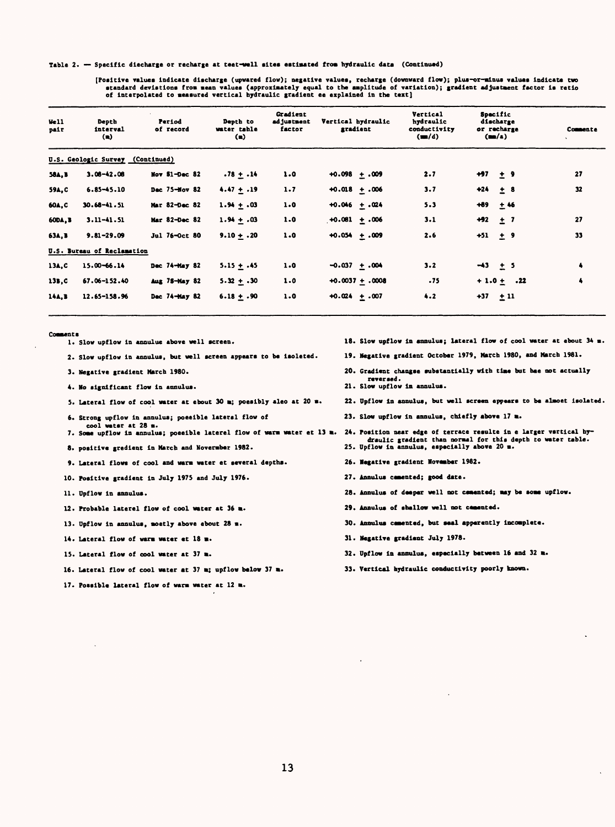Table 2. - Specific diecharge or recharge at teet-well sites estimated from hydraulic data (Continued)

**[Poaitlve values Indicate discharge (upvared flow); negative values, recharge (downward flow); plua-or-minus values Indicate two**  standard devistions from mean values (approximately equal to the amplitude of variation); gradient adjustment factor is retio<br>of interpolated to measured vertical hydraulic gradient ee explained in the text]

| Well<br>pair   | Depth<br>interval<br>(n)         | Period<br>of record | Depth to<br>water table<br>(n) | <b>Gradient</b><br>ad justment<br>factor | Vertical hydraulic<br>gradient | Vertical<br>hydraulic<br>conductivity<br>(m/d) | Specific<br>discharge<br>or recharge<br>(m/4) | Commente |
|----------------|----------------------------------|---------------------|--------------------------------|------------------------------------------|--------------------------------|------------------------------------------------|-----------------------------------------------|----------|
|                | U.S. Geologic Survey (Continued) |                     |                                |                                          |                                |                                                |                                               |          |
| <b>58A, B</b>  | $3.06 - 42.06$                   | Nov $S1 - Dec$ 82   | $.78 + .14$                    | 1.0                                      | $+0.098 + .009$                | 2.7                                            | $+97 + 9$                                     | 27       |
| 59A.C          | $6.85 - 45.10$                   | Dec 75-Nov 82       | $4.47 + .19$                   | 1.7                                      | $+0.018 + .006$                | 3.7                                            | $+24 + 8$                                     | 32       |
| 60A.C          | $30.68 - 41.51$                  | Mar 82-Dec 82       | $1.94 + .03$                   | 1.0                                      | $+0.046 + .024$                | 5.3                                            | $+89$<br>$+46$                                |          |
| <b>60DA, B</b> | $3.11 - 41.51$                   | Mar 82-Dec 82       | $1.94 + .03$                   | 1.0                                      | $+0.061 + .006$                | 3.1                                            | $+92 + 7$                                     | 27       |
| 63A, B         | $9.81 - 29.09$                   | Jul 76-Oct 80       | $9.10 + .20$                   | 1.0                                      | $+0.054 + .009$                | 2.6                                            | $+51 + 9$                                     | 33       |
|                | U.S. Bureau of Reclamation       |                     |                                |                                          |                                |                                                |                                               |          |
| 13A.C          | $15.00 - 66.14$                  | Dec 74-May 82       | $5.15 + .45$                   | 1.0                                      | $-0.037 + .004$                | $3 - 2$                                        | $-43 + 5$                                     | 4        |
| 13B.C          | 67.06-152.40                     | Aug 78-May 82       | $5.32 + .30$                   | 1.0                                      | $+0.0037 + .0008$              | .75                                            | $+1.0 + .22$                                  | 4        |
| 14A.B          | 12.65-158.96                     | Dec 74-May 82       | $6.18 + .90$                   | 1.0                                      | $+0.024 + .007$                | 4.2                                            | $+37 + 11$                                    |          |

Comments

- 1. Slow upflow in annulue above well screen.
- **2. Slow upflow In annulus, but well screen appears to be laoleted. 19.**
- **3. Negative gradient March 1980. 20.**
- **4. Ho significant flow in annulus. 21.**
- **5. Lateral flow of cool water at ebout 30 m; poeslbly aleo at 20 m. 22.**
- **6. Strong upflow in annulus; poeeible lateral flow of cool water at 28 m.**
- **7. Some upflow in annulus; poeelble laterel flow of warm water et 13 m. 24. Position near edge of terrace resnlte in e larger vertical hy-**
- **8. positive gredlent in March and Hovermber 1982. 25.**
- **9. Lateral flows of cool and warm water et several depths. 26.**
- **10. Positive gradient in July 1975 and July 1976. 27.**
- **11. Dpflow in annulus. 28.**
- **12. Probable laterel flow of cool water at 36 m. 29.**
- **13. Dpflow in annulus, moetly above ebout 28 m. 30.**
- **14. Lateral flow of warm water et 18 31.**
- 15. Lateral flow of cool water at 37 m.
- 16. Lateral flow of cool water at 37 m; upflow below 37 m.
- **17. Possible lateral flow of warm water at 12 m.**
- **Slow npflow in annulus; lateral flow of cool water at ebout 34 m.**
- **Negative gradient October 1979. March 1980, and March 1981.**
- **Gradient changse substantially with time but hae not actually reversed.**
- 21. Slow upflow in annulus.
- **Dpflow in annulus, but well screen eppears to be almoet isolated.**
- **Slow upflow in annulus, chiefly above 17 m.**
- **draulic gradient than normal for this depth to water table. Dpflow in annulus, especially above 20 m.**
- **Negative gradient November 1982.**
- **Annulua cemented; good date.**
- **annulus of deeper well not cemented; may be some upflow.**
- **Annulus of shallow well not cemented.**
- **Annulua cemented, but seal apperently incomplete.**
- **Negative gradient July 1978.**
- **Dpflow in annulus, especially between 16 and 32 m.**
- **Vertical hydraulic conductivity poorly known.**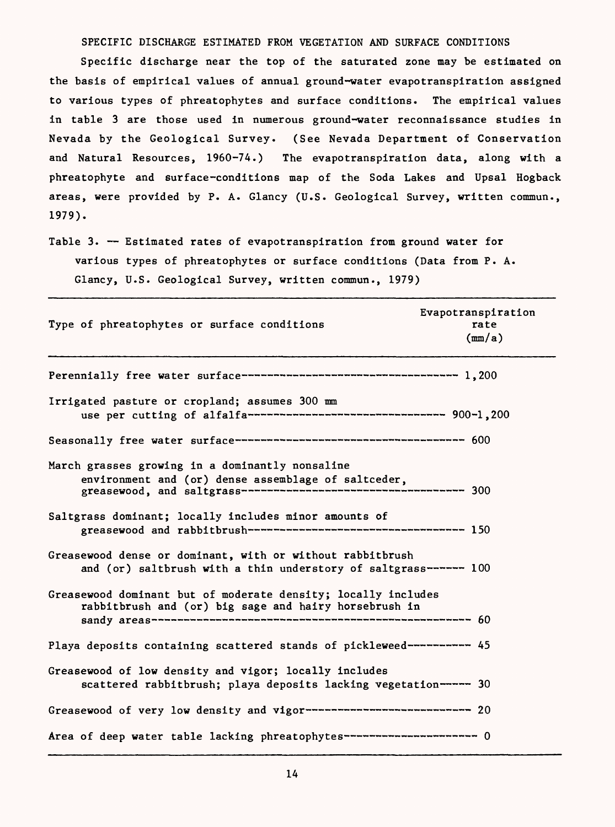SPECIFIC DISCHARGE ESTIMATED FROM VEGETATION AND SURFACE CONDITIONS

Specific discharge near the top of the saturated zone may be estimated on the basis of empirical values of annual ground-water evapotranspiration assigned to various types of phreatophytes and surface conditions. The empirical values in table 3 are those used in numerous ground-water reconnaissance studies in Nevada by the Geological Survey. (See Nevada Department of Conservation and Natural Resources, 1960-74.) The evapotranspiration data, along with a phreatophyte and surface-conditions map of the Soda Lakes and Upsal Hogback areas, were provided by P. A. Glancy (U.S. Geological Survey, written commun., 1979).

Table 3. -- Estimated rates of evapotranspiration from ground water for various types of phreatophytes or surface conditions (Data from P. A. Glancy, U.S. Geological Survey, written commun., 1979)

| Type of phreatophytes or surface conditions                                                                                                                     | Evapotranspiration<br>rate<br>(mm/a) |
|-----------------------------------------------------------------------------------------------------------------------------------------------------------------|--------------------------------------|
|                                                                                                                                                                 |                                      |
| Irrigated pasture or cropland; assumes 300 mm                                                                                                                   |                                      |
|                                                                                                                                                                 |                                      |
| March grasses growing in a dominantly nonsaline<br>environment and (or) dense assemblage of saltceder,<br>greasewood, and saltgrass---------------------------- | ----------- 300                      |
| Saltgrass dominant; locally includes minor amounts of                                                                                                           |                                      |
| Greasewood dense or dominant, with or without rabbitbrush<br>and (or) saltbrush with a thin understory of saltgrass------ 100                                   |                                      |
| Greasewood dominant but of moderate density; locally includes<br>rabbitbrush and (or) big sage and hairy horsebrush in                                          |                                      |
| Playa deposits containing scattered stands of pickleweed----------- 45                                                                                          |                                      |
| Greasewood of low density and vigor; locally includes<br>scattered rabbitbrush; playa deposits lacking vegetation------ 30                                      |                                      |
| Greasewood of very low density and vigor------------------------------ 20                                                                                       |                                      |
| Area of deep water table lacking phreatophytes------------------------ 0                                                                                        |                                      |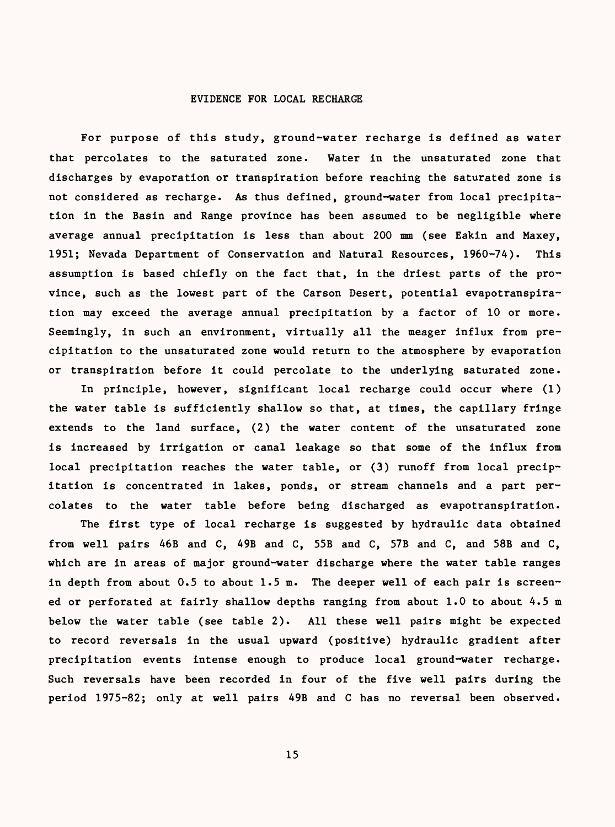## EVIDENCE FOR LOCAL RECHARGE

For purpose of this study, ground-water recharge is defined as water that percolates to the saturated zone. Water in the unsaturated zone that discharges by evaporation or transpiration before reaching the saturated zone is not considered as recharge. As thus defined, ground-water from local precipitation in the Basin and Range province has been assumed to be negligible where average annual precipitation is less than about 200 mm (see Eakin and Maxey, 1951; Nevada Department of Conservation and Natural Resources, 1960-74). This assumption is based chiefly on the fact that, in the driest parts of the province, such as the lowest part of the Carson Desert, potential evapotranspiration may exceed the average annual precipitation by a factor of 10 or more. Seemingly, in such an environment, virtually all the meager influx from precipitation to the unsaturated zone would return to the atmosphere by evaporation or transpiration before it could percolate to the underlying saturated zone.

In principle, however, significant local recharge could occur where (1) the water table is sufficiently shallow so that, at times, the capillary fringe extends to the land surface, (2) the water content of the unsaturated zone is increased by irrigation or canal leakage so that some of the influx from local precipitation reaches the water table, or (3) runoff from local precipitation is concentrated in lakes, ponds, or stream channels and a part percolates to the water table before being discharged as evapotranspiration.

The first type of local recharge is suggested by hydraulic data obtained from well pairs 46B and C, 49B and C, 55B and C, 57B and C, and 58B and C, which are in areas of major ground-water discharge where the water table ranges in depth from about 0.5 to about 1.5 m. The deeper well of each pair is screened or perforated at fairly shallow depths ranging from about 1.0 to about 4.5 m below the water table (see table 2). All these well pairs might be expected to record reversals in the usual upward (positive) hydraulic gradient after precipitation events intense enough to produce local ground-water recharge. Such reversals have been recorded in four of the five well pairs during the period 1975-82; only at well pairs 49B and C has no reversal been observed.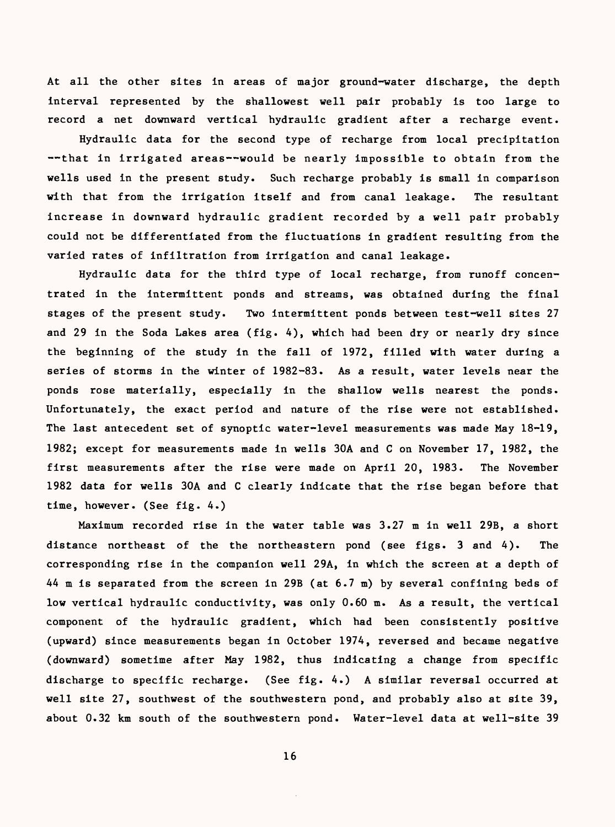At all the other sites in areas of major ground-water discharge, the depth interval represented by the shallowest well pair probably is too large to record a net downward vertical hydraulic gradient after a recharge event.

Hydraulic data for the second type of recharge from local precipitation --that in irrigated areas--would be nearly impossible to obtain from the wells used in the present study. Such recharge probably is small in comparison with that from the irrigation itself and from canal leakage. The resultant increase in downward hydraulic gradient recorded by a well pair probably could not be differentiated from the fluctuations in gradient resulting from the varied rates of infiltration from irrigation and canal leakage.

Hydraulic data for the third type of local recharge, from runoff concentrated in the intermittent ponds and streams, was obtained during the final stages of the present study. Two intermittent ponds between test-well sites 27 and 29 in the Soda Lakes area (fig. A), which had been dry or nearly dry since the beginning of the study in the fall of 1972, filled with water during a series of storms in the winter of 1982-83. As a result, water levels near the ponds rose materially, especially in the shallow wells nearest the ponds. Unfortunately, the exact period and nature of the rise were not established. The last antecedent set of synoptic water-level measurements was made May 18-19, 1982; except for measurements made in wells 30A and C on November 17, 1982, the first measurements after the rise were made on April 20, 1983. The November 1982 data for wells 30A and C clearly indicate that the rise began before that time, however. (See fig. A.)

Maximum recorded rise in the water table was 3.27 m in well 29B, a short distance northeast of the the northeastern pond (see figs. 3 and 4). The corresponding rise in the companion well 29A, in which the screen at a depth of AA m is separated from the screen in 29B (at 6.7 m) by several confining beds of low vertical hydraulic conductivity, was only 0.60 m. As a result, the vertical component of the hydraulic gradient, which had been consistently positive (upward) since measurements began in October 197A, reversed and became negative (downward) sometime after May 1982, thus indicating a change from specific discharge to specific recharge. (See fig. 4.) A similar reversal occurred at well site 27, southwest of the southwestern pond, and probably also at site 39, about 0.32 km south of the southwestern pond. Water-level data at well-site 39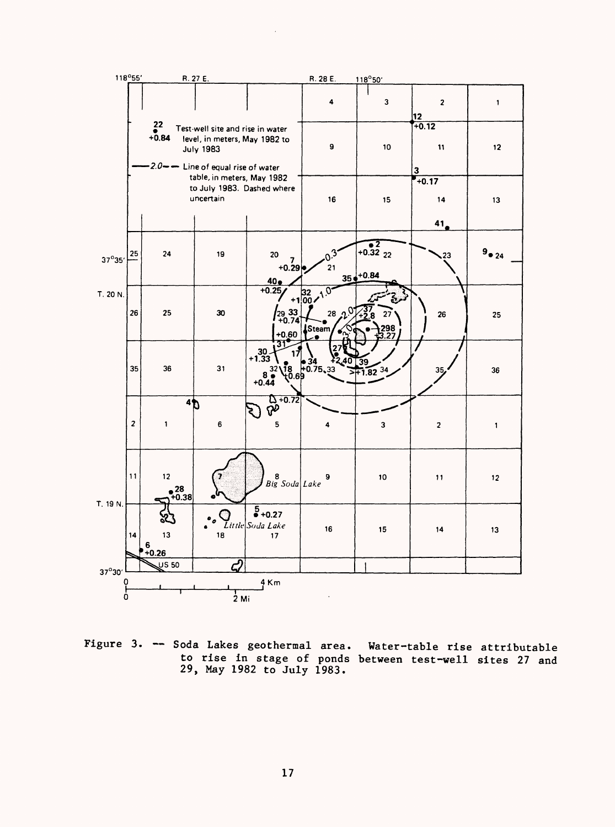

Figure 3. -- Soda Lakes geothermal area. Water-table rise attributable to rise in stage of ponds between test-well sites 27 and 29, May 1982 to July 1983.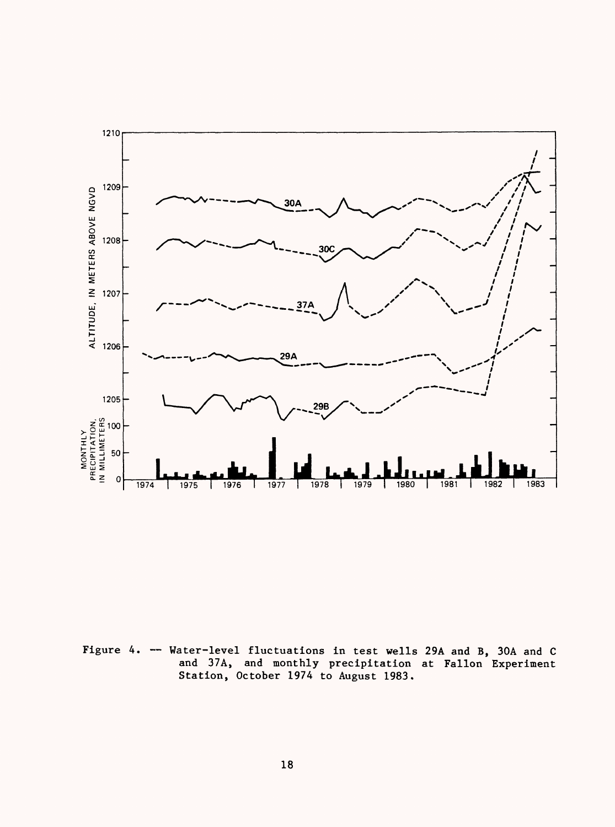

Figure 4. -- Water-level fluctuations in test wells 29A and B, 30A and C and 37A, and monthly precipitation at Fallon Experiment Station, October 1974 to August 1983.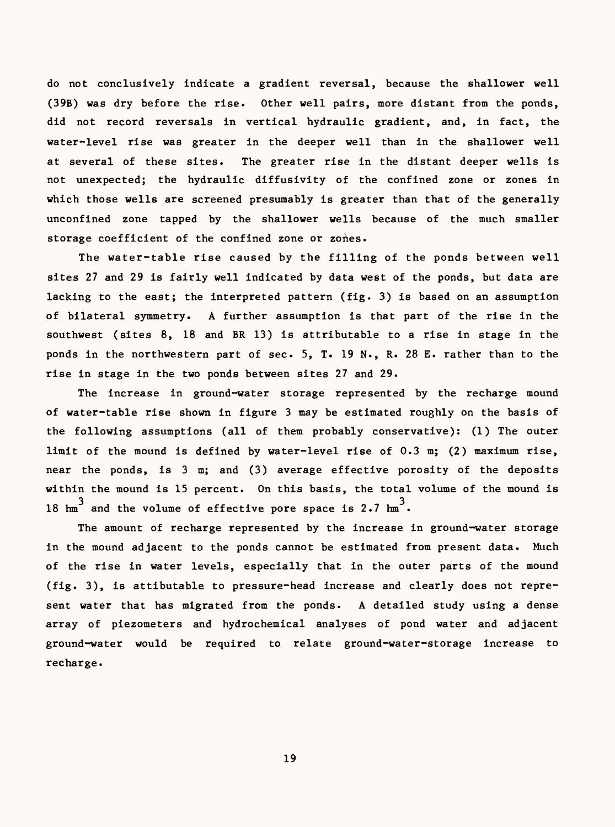do not conclusively indicate a gradient reversal, because the shallower well (39B) was dry before the rise. Other well pairs, more distant from the ponds, did not record reversals in vertical hydraulic gradient, and, in fact, the water-level rise was greater in the deeper well than in the shallower well at several of these sites. The greater rise in the distant deeper wells is not unexpected; the hydraulic diffusivity of the confined zone or zones in which those wells are screened presumably is greater than that of the generally unconfined zone tapped by the shallower wells because of the much smaller storage coefficient of the confined zone or zones.

The water-table rise caused by the filling of the ponds between well sites 27 and 29 is fairly well indicated by data west of the ponds, but data are lacking to the east; the interpreted pattern (fig. 3) is based on an assumption of bilateral symmetry. A further assumption is that part of the rise in the southwest (sites 8, 18 and BR 13) is attributable to a rise in stage in the ponds in the northwestern part of sec. 5, T. 19 N., R. 28 E. rather than to the rise in stage in the two ponds between sites 27 and 29.

The increase in ground-water storage represented by the recharge mound of water-table rise shown in figure 3 may be estimated roughly on the basis of the following assumptions (all of them probably conservative): (1) The outer limit of the mound is defined by water-level rise of 0.3 m; (2) maximum rise, near the ponds, is 3 m; and (3) average effective porosity of the deposits within the mound is 15 percent. On this basis, the total volume of the mound is 18  ${\rm h m}^3$  and the volume of effective pore space is 2.7  ${\rm h m}^3$ .

The amount of recharge represented by the increase in ground-water storage in the mound adjacent to the ponds cannot be estimated from present data. Much of the rise in water levels, especially that in the outer parts of the mound (fig. 3), is attibutable to pressure-head increase and clearly does not represent water that has migrated from the ponds. A detailed study using a dense array of piezometers and hydrochemical analyses of pond water and adjacent ground-water would be required to relate ground-water-storage increase to recharge.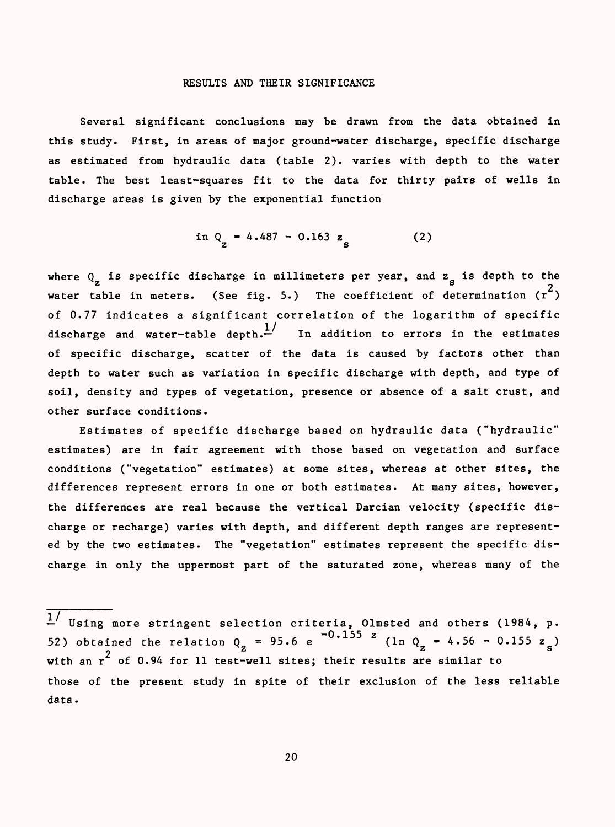#### RESULTS AND THEIR SIGNIFICANCE

Several significant conclusions may be drawn from the data obtained in this study. First, in areas of major ground-water discharge, specific discharge as estimated from hydraulic data (table 2). varies with depth to the water table. The best least-squares fit to the data for thirty pairs of wells in discharge areas is given by the exponential function

$$
\ln Q_{z} = 4.487 - 0.163 z_{s}
$$
 (2)

where  $Q_{\bf z}$  is specific discharge in millimeters per year, and  $z_{\bf s}$  is depth to the water table in meters. (See fig. 5.) The coefficient of determination  $(r^2)$ of 0.77 indicates a significant correlation of the logarithm of specific discharge and water-table depth.  $\frac{1}{1}$  In addition to errors in the estimates of specific discharge, scatter of the data is caused by factors other than depth to water such as variation in specific discharge with depth, and type of soil, density and types of vegetation, presence or absence of a salt crust, and other surface conditions.

Estimates of specific discharge based on hydraulic data ("hydraulic" estimates) are in fair agreement with those based on vegetation and surface conditions ("vegetation" estimates) at some sites, whereas at other sites, the differences represent errors in one or both estimates. At many sites, however, the differences are real because the vertical Darcian velocity (specific discharge or recharge) varies with depth, and different depth ranges are represented by the two estimates. The "vegetation" estimates represent the specific discharge in only the uppermost part of the saturated zone, whereas many of the

 $^{L}$  Using more stringent selection criteria, Olmsted and others (1984, p. 52) obtained the relation  $Q_{\rm z}$  = 95.6 e  $(1n Q_{\rm z}$  = 4.56 - 0.155  $z_{\rm s}$ ) with an  $r^2$  of 0.94 for 11 test-well sites; their results are similar to those of the present study in spite of their exclusion of the less reliable data.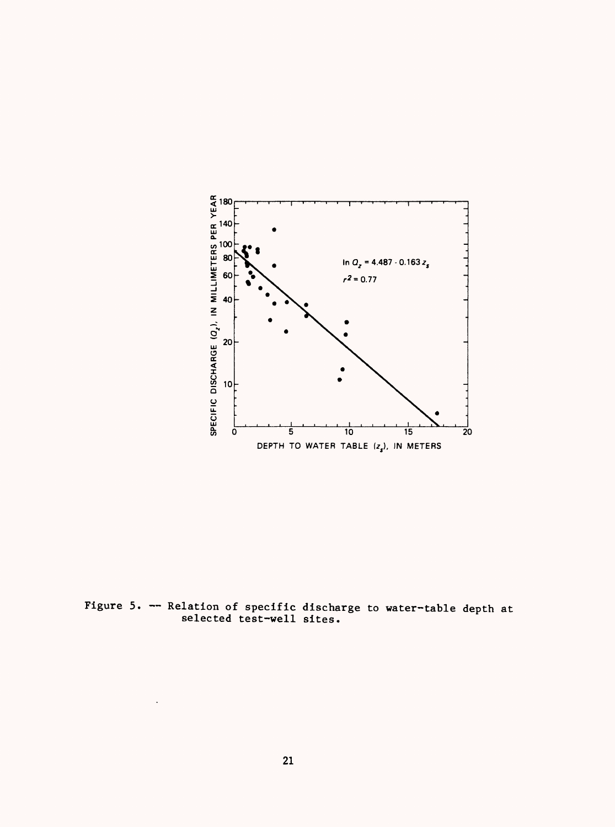

Figure 5. Relation of specific discharge to water-table depth at selected test-well sites.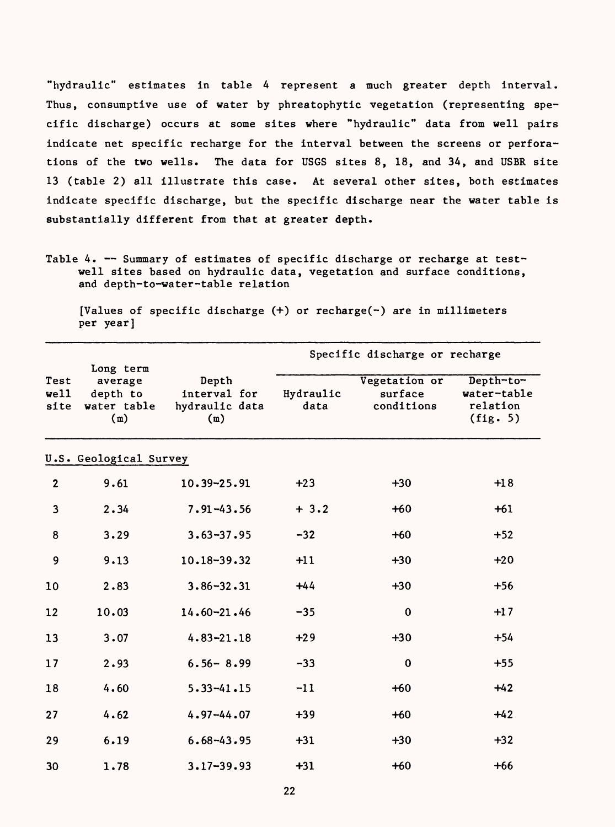"hydraulic" estimates in table 4 represent a much greater depth interval. Thus, consumptive use of water by phreatophytic vegetation (representing specific discharge) occurs at some sites where "hydraulic" data from well pairs indicate net specific recharge for the interval between the screens or perforations of the two wells. The data for USGS sites 8, 18, and 34, and USER site 13 (table 2) all illustrate this case. At several other sites, both estimates indicate specific discharge, but the specific discharge near the water table is substantially different from that at greater depth.

[Values of specific discharge (+) or recharge(-) are in millimeters per year]

|                      | Long term                                 |                                                | Specific discharge or recharge |                                        |                                                  |  |
|----------------------|-------------------------------------------|------------------------------------------------|--------------------------------|----------------------------------------|--------------------------------------------------|--|
| Test<br>well<br>site | average<br>depth to<br>water table<br>(m) | Depth<br>interval for<br>hydraulic data<br>(m) | Hydraulic<br>data              | Vegetation or<br>surface<br>conditions | Depth-to-<br>water-table<br>relation<br>(fig. 5) |  |
|                      | U.S. Geological Survey                    |                                                |                                |                                        |                                                  |  |
| $\mathbf{2}$         | 9.61                                      | 10.39-25.91                                    | $+23$                          | $+30$                                  | $+18$                                            |  |
| $\mathbf{3}$         | 2.34                                      | $7.91 - 43.56$                                 | $+3.2$                         | $+60$                                  | $+61$                                            |  |
| 8                    | 3.29                                      | $3.63 - 37.95$                                 | $-32$                          | $+60$                                  | $+52$                                            |  |
| 9                    | 9.13                                      | 10.18-39.32                                    | $+11$                          | $+30$                                  | $+20$                                            |  |
| 10                   | 2.83                                      | $3.86 - 32.31$                                 | $+44$                          | $+30$                                  | $+56$                                            |  |
| 12                   | 10.03                                     | $14.60 - 21.46$                                | $-35$                          | $\bf{0}$                               | $+17$                                            |  |
| 13                   | 3.07                                      | $4.83 - 21.18$                                 | $+29$                          | $+30$                                  | $+54$                                            |  |
| 17                   | 2.93                                      | $6.56 - 8.99$                                  | $-33$                          | 0                                      | $+55$                                            |  |
| 18                   | 4.60                                      | $5.33 - 41.15$                                 | $-11$                          | $+60$                                  | $+42$                                            |  |
| 27                   | 4.62                                      | $4.97 - 44.07$                                 | $+39$                          | $+60$                                  | $+42$                                            |  |
| 29                   | 6.19                                      | $6.68 - 43.95$                                 | $+31$                          | $+30$                                  | $+32$                                            |  |
| 30                   | 1.78                                      | $3.17 - 39.93$                                 | $+31$                          | $+60$                                  | $+66$                                            |  |

Table 4. -- Summary of estimates of specific discharge or recharge at testwell sites based on hydraulic data, vegetation and surface conditions, and depth-to-water-table relation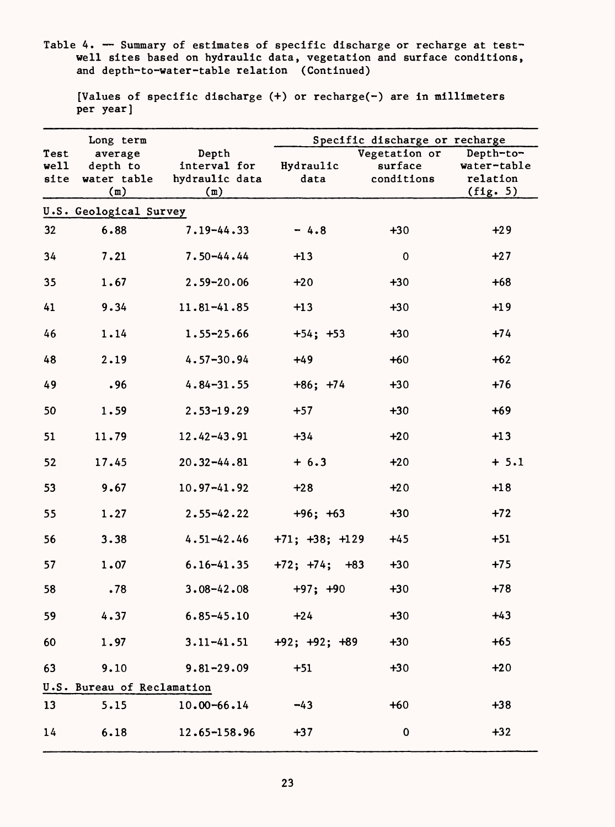Table 4. — Summary of estimates of specific discharge or recharge at testwell sites based on hydraulic data, vegetation and surface conditions, and depth-to-water-table relation (Continued)

|      | Long term                  |                 | Specific discharge or recharge |               |             |  |
|------|----------------------------|-----------------|--------------------------------|---------------|-------------|--|
| Test | average                    | Depth           |                                | Vegetation or | Depth-to-   |  |
| well | depth to                   | interval for    | Hydraulic                      | surface       | water-table |  |
| site | water table                | hydraulic data  | data                           | conditions    | relation    |  |
|      | (m)                        | (m)             |                                |               | (fig. 5)    |  |
|      | U.S. Geological Survey     |                 |                                |               |             |  |
| 32   | 6.88                       | $7.19 - 44.33$  | $-4.8$                         | $+30$         | $+29$       |  |
| 34   | 7.21                       | $7.50 - 44.44$  | $+13$                          | 0             | $+27$       |  |
| 35   | 1.67                       | $2.59 - 20.06$  | $+20$                          | $+30$         | $+68$       |  |
| 41   | 9.34                       | $11.81 - 41.85$ | $+13$                          | $+30$         | $+19$       |  |
| 46   | 1.14                       | $1.55 - 25.66$  | $+54; +53$                     | $+30$         | $+74$       |  |
| 48   | 2.19                       | $4.57 - 30.94$  | $+49$                          | $+60$         | $+62$       |  |
| 49   | .96                        | $4.84 - 31.55$  | $+86; +74$                     | $+30$         | $+76$       |  |
| 50   | 1.59                       | $2.53 - 19.29$  | $+57$                          | $+30$         | $+69$       |  |
| 51   | 11.79                      | $12.42 - 43.91$ | $+34$                          | $+20$         | $+13$       |  |
| 52   | 17.45                      | $20.32 - 44.81$ | $+ 6.3$                        | $+20$         | $+ 5.1$     |  |
| 53   | 9.67                       | $10.97 - 41.92$ | $+28$                          | $+20$         | $+18$       |  |
| 55   | 1.27                       | $2.55 - 42.22$  | $+96; +63$                     | $+30$         | $+72$       |  |
| 56   | 3.38                       | $4.51 - 42.46$  | $+71; +38; +129$               | $+45$         | $+51$       |  |
| 57   | 1.07                       | $6.16 - 41.35$  | $+72; +74;$<br>$+83$           | $+30$         | $+75$       |  |
| 58   | .78                        | $3.08 - 42.08$  | $+97; +90$                     | $+30$         | $+78$       |  |
| 59   | 4.37                       | $6.85 - 45.10$  | $+24$                          | $+30$         | $+43$       |  |
| 60   | 1.97                       | $3.11 - 41.51$  | $+92; +92; +89$                | $+30$         | $+65$       |  |
| 63   | 9.10                       | $9.81 - 29.09$  | $+51$                          | $+30$         | $+20$       |  |
|      | U.S. Bureau of Reclamation |                 |                                |               |             |  |
| 13   | 5.15                       | $10.00 - 66.14$ | $-43$                          | $+60$         | $+38$       |  |
| 14   | 6.18                       | 12.65-158.96    | $+37$                          | 0             | $+32$       |  |

[Values of specific discharge (+) or recharge(-) are in millimeters per year]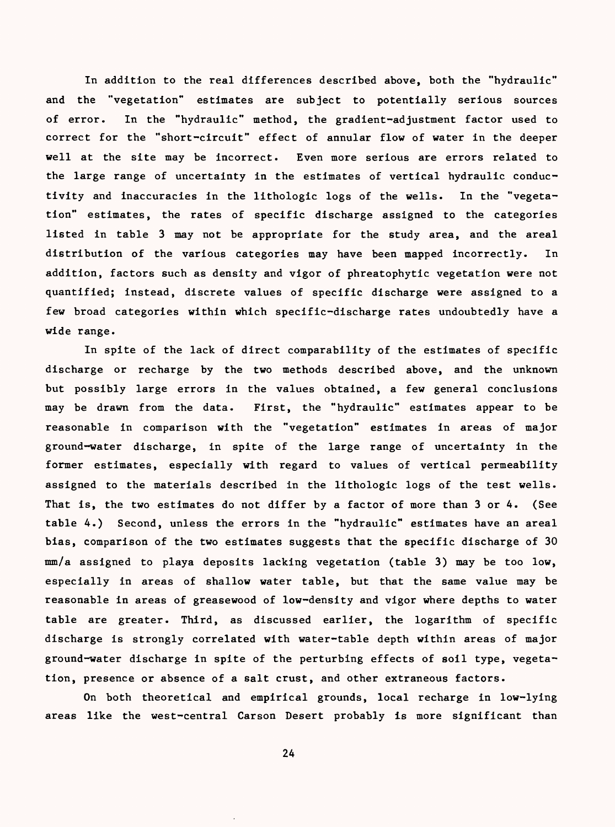In addition to the real differences described above, both the "hydraulic" and the "vegetation" estimates are subject to potentially serious sources of error. In the "hydraulic" method, the gradient-adjustment factor used to correct for the "short-circuit" effect of annular flow of water in the deeper well at the site may be incorrect. Even more serious are errors related to the large range of uncertainty in the estimates of vertical hydraulic conductivity and inaccuracies in the lithologic logs of the wells. In the "vegetation" estimates, the rates of specific discharge assigned to the categories listed in table 3 may not be appropriate for the study area, and the areal distribution of the various categories may have been mapped incorrectly. In addition, factors such as density and vigor of phreatophytic vegetation were not quantified; instead, discrete values of specific discharge were assigned to a few broad categories within which specific-discharge rates undoubtedly have a wide range.

In spite of the lack of direct comparability of the estimates of specific discharge or recharge by the two methods described above, and the unknown but possibly large errors in the values obtained, a few general conclusions may be drawn from the data. First, the "hydraulic" estimates appear to be reasonable in comparison with the "vegetation" estimates in areas of major ground-water discharge, in spite of the large range of uncertainty in the former estimates, especially with regard to values of vertical permeability assigned to the materials described in the lithologic logs of the test wells. That is, the two estimates do not differ by a factor of more than 3 or 4. (See table 4.) Second, unless the errors in the "hydraulic" estimates have an areal bias, comparison of the two estimates suggests that the specific discharge of 30 mm/a assigned to playa deposits lacking vegetation (table 3) may be too low, especially in areas of shallow water table, but that the same value may be reasonable in areas of greasewood of low-density and vigor where depths to water table are greater. Third, as discussed earlier, the logarithm of specific discharge is strongly correlated with water-table depth within areas of major ground-water discharge in spite of the perturbing effects of soil type, vegetation, presence or absence of a salt crust, and other extraneous factors.

On both theoretical and empirical grounds, local recharge in low-lying areas like the west-central Carson Desert probably is more significant than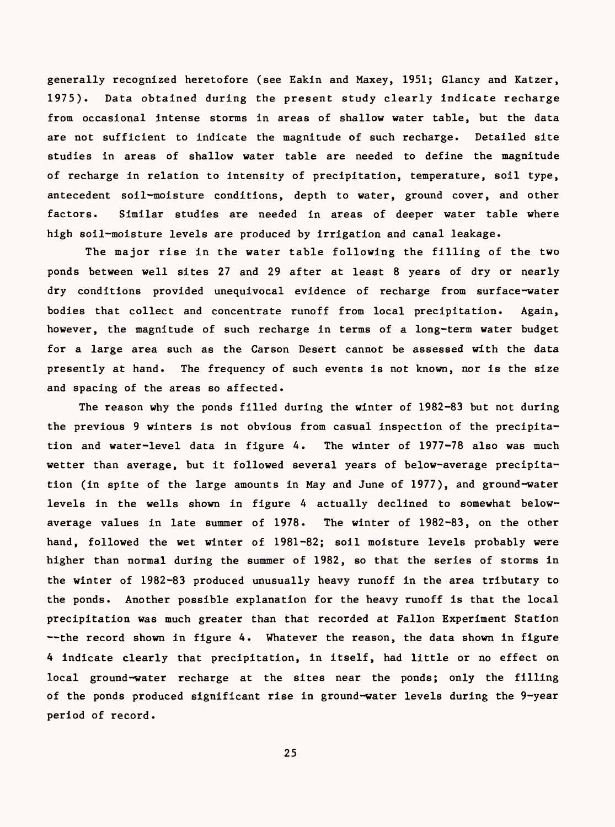generally recognized heretofore (see Eakin and Maxey, 1951; Glancy and Katzer, 1975). Data obtained during the present study clearly indicate recharge from occasional intense storms in areas of shallow water table, but the data are not sufficient to indicate the magnitude of such recharge. Detailed site studies in areas of shallow water table are needed to define the magnitude of recharge in relation to intensity of precipitation, temperature, soil type, antecedent soil-moisture conditions, depth to water, ground cover, and other factors. Similar studies are needed in areas of deeper water table where high soil-moisture levels are produced by irrigation and canal leakage.

The major rise in the water table following the filling of the two ponds between well sites 27 and 29 after at least 8 years of dry or nearly dry conditions provided unequivocal evidence of recharge from surface-water bodies that collect and concentrate runoff from local precipitation. Again, however, the magnitude of such recharge in terms of a long-term water budget for a large area such as the Carson Desert cannot be assessed with the data presently at hand. The frequency of such events is not known, nor is the size and spacing of the areas so affected.

The reason why the ponds filled during the winter of 1982-83 but not during the previous 9 winters is not obvious from casual inspection of the precipitation and water-level data in figure 4. The winter of 1977-78 also was much wetter than average, but it followed several years of below-average precipitation (in spite of the large amounts in May and June of 1977), and ground-water levels in the wells shown in figure 4 actually declined to somewhat belowaverage values in late summer of 1978. The winter of 1982-83, on the other hand, followed the wet winter of 1981-82; soil moisture levels probably were higher than normal during the summer of 1982, so that the series of storms in the winter of 1982-83 produced unusually heavy runoff in the area tributary to the ponds. Another possible explanation for the heavy runoff is that the local precipitation was much greater than that recorded at Fallen Experiment Station --the record shown in figure 4. Whatever the reason, the data shown in figure 4 indicate clearly that precipitation, in itself, had little or no effect on local ground-water recharge at the sites near the ponds; only the filling of the ponds produced significant rise in ground-water levels during the 9-year period of record.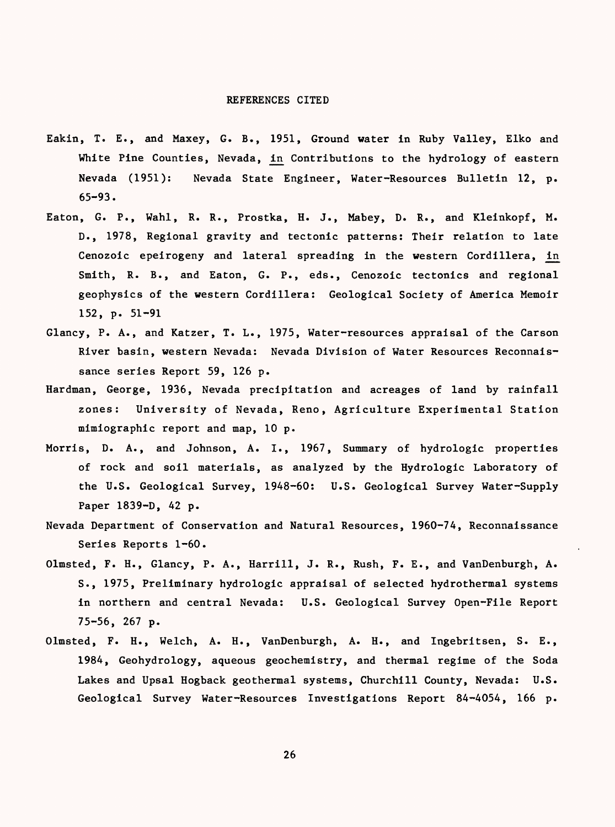#### REFERENCES CITED

- Eakin, T. E., and Maxey, G. B., 1951, Ground water in Ruby Valley, Elko and White Pine Counties, Nevada, in Contributions to the hydrology of eastern Nevada (1951): Nevada State Engineer, Water-Resources Bulletin 12, p. 65-93.
- Eaton, G. P., Wahl, R. R., Prostka, H. J., Mabey, D. R., and Kleinkopf, M. D., 1978, Regional gravity and tectonic patterns: Their relation to late Cenozoic epeirogeny and lateral spreading in the western Cordillera, in Smith, R. B., and Eaton, G. P., eds., Cenozoic tectonics and regional geophysics of the western Cordillera: Geological Society of America Memoir 152, p. 51-91
- Glancy, P. A., and Katzer, T. L., 1975, Water-resources appraisal of the Carson River basin, western Nevada: Nevada Division of Water Resources Reconnaissance series Report 59, 126 p.
- Hardman, George, 1936, Nevada precipitation and acreages of land by rainfall zones: University of Nevada, Reno, Agriculture Experimental Station mimiographic report and map, 10 p.
- Morris, D. A., and Johnson, A. I., 1967, Summary of hydrologic properties of rock and soil materials, as analyzed by the Hydrologic Laboratory of the U.S. Geological Survey, 1948-60: U.S. Geological Survey Water-Supply Paper 1839-D, 42 p.
- Nevada Department of Conservation and Natural Resources, 1960-74, Reconnaissance Series Reports 1-60.
- Olmsted, F. H., Glancy, P. A., Harrill, J. R., Rush, F. E., and VanDenburgh, A. S., 1975, Preliminary hydrologic appraisal of selected hydrothermal systems in northern and central Nevada: U.S. Geological Survey Open-File Report 75-56, 267 p.
- Olmsted, F. H., Welch, A. H., VanDenburgh, A. H., and Ingebritsen, S. E., 1984, Geohydrology, aqueous geochemistry, and thermal regime of the Soda Lakes and Upsal Hogback geothermal systems, Churchill County, Nevada: U.S. Geological Survey Water-Resources Investigations Report 84-4054, 166 p.